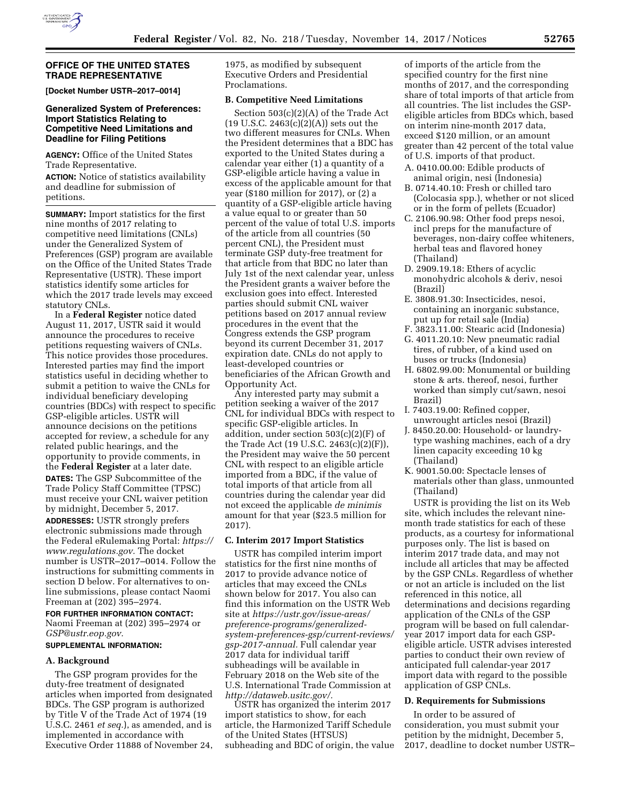

### **OFFICE OF THE UNITED STATES TRADE REPRESENTATIVE**

**[Docket Number USTR–2017–0014]** 

## **Generalized System of Preferences: Import Statistics Relating to Competitive Need Limitations and Deadline for Filing Petitions**

**AGENCY:** Office of the United States Trade Representative.

**ACTION:** Notice of statistics availability and deadline for submission of petitions.

**SUMMARY:** Import statistics for the first nine months of 2017 relating to competitive need limitations (CNLs) under the Generalized System of Preferences (GSP) program are available on the Office of the United States Trade Representative (USTR). These import statistics identify some articles for which the 2017 trade levels may exceed statutory CNLs.

In a **Federal Register** notice dated August 11, 2017, USTR said it would announce the procedures to receive petitions requesting waivers of CNLs. This notice provides those procedures. Interested parties may find the import statistics useful in deciding whether to submit a petition to waive the CNLs for individual beneficiary developing countries (BDCs) with respect to specific GSP-eligible articles. USTR will announce decisions on the petitions accepted for review, a schedule for any related public hearings, and the opportunity to provide comments, in the **Federal Register** at a later date. **DATES:** The GSP Subcommittee of the Trade Policy Staff Committee (TPSC) must receive your CNL waiver petition by midnight, December 5, 2017.

**ADDRESSES:** USTR strongly prefers electronic submissions made through the Federal eRulemaking Portal: *[https://](https://www.regulations.gov) [www.regulations.gov.](https://www.regulations.gov)* The docket number is USTR–2017–0014. Follow the instructions for submitting comments in section D below. For alternatives to online submissions, please contact Naomi Freeman at (202) 395–2974.

#### **FOR FURTHER INFORMATION CONTACT:**

Naomi Freeman at (202) 395–2974 or *[GSP@ustr.eop.gov.](mailto:GSP@ustr.eop.gov)* 

# **SUPPLEMENTAL INFORMATION:**

### **A. Background**

The GSP program provides for the duty-free treatment of designated articles when imported from designated BDCs. The GSP program is authorized by Title V of the Trade Act of 1974 (19 U.S.C. 2461 *et seq.*), as amended, and is implemented in accordance with Executive Order 11888 of November 24, 1975, as modified by subsequent Executive Orders and Presidential Proclamations.

## **B. Competitive Need Limitations**

Section 503(c)(2)(A) of the Trade Act  $(19 U.S.C. 2463(c)(2)(A))$  sets out the two different measures for CNLs. When the President determines that a BDC has exported to the United States during a calendar year either (1) a quantity of a GSP-eligible article having a value in excess of the applicable amount for that year (\$180 million for 2017), or (2) a quantity of a GSP-eligible article having a value equal to or greater than 50 percent of the value of total U.S. imports of the article from all countries (50 percent CNL), the President must terminate GSP duty-free treatment for that article from that BDC no later than July 1st of the next calendar year, unless the President grants a waiver before the exclusion goes into effect. Interested parties should submit CNL waiver petitions based on 2017 annual review procedures in the event that the Congress extends the GSP program beyond its current December 31, 2017 expiration date. CNLs do not apply to least-developed countries or beneficiaries of the African Growth and Opportunity Act.

Any interested party may submit a petition seeking a waiver of the 2017 CNL for individual BDCs with respect to specific GSP-eligible articles. In addition, under section 503(c)(2)(F) of the Trade Act (19 U.S.C. 2463(c)(2)(F)), the President may waive the 50 percent CNL with respect to an eligible article imported from a BDC, if the value of total imports of that article from all countries during the calendar year did not exceed the applicable *de minimis*  amount for that year (\$23.5 million for 2017).

# **C. Interim 2017 Import Statistics**

USTR has compiled interim import statistics for the first nine months of 2017 to provide advance notice of articles that may exceed the CNLs shown below for 2017. You also can find this information on the USTR Web site at *[https://ustr.gov/issue-areas/](https://ustr.gov/issue-areas/preference-programs/generalized-system-preferences-gsp/current-reviews/gsp-2017-annual)  [preference-programs/generalized](https://ustr.gov/issue-areas/preference-programs/generalized-system-preferences-gsp/current-reviews/gsp-2017-annual)[system-preferences-gsp/current-reviews/](https://ustr.gov/issue-areas/preference-programs/generalized-system-preferences-gsp/current-reviews/gsp-2017-annual) [gsp-2017-annual.](https://ustr.gov/issue-areas/preference-programs/generalized-system-preferences-gsp/current-reviews/gsp-2017-annual)* Full calendar year 2017 data for individual tariff subheadings will be available in February 2018 on the Web site of the U.S. International Trade Commission at *[http://dataweb.usitc.gov/.](http://dataweb.usitc.gov/)* 

USTR has organized the interim 2017 import statistics to show, for each article, the Harmonized Tariff Schedule of the United States (HTSUS) subheading and BDC of origin, the value

of imports of the article from the specified country for the first nine months of 2017, and the corresponding share of total imports of that article from all countries. The list includes the GSPeligible articles from BDCs which, based on interim nine-month 2017 data, exceed \$120 million, or an amount greater than 42 percent of the total value of U.S. imports of that product.

- A. 0410.00.00: Edible products of animal origin, nesi (Indonesia)
- B. 0714.40.10: Fresh or chilled taro (Colocasia spp.), whether or not sliced or in the form of pellets (Ecuador)
- C. 2106.90.98: Other food preps nesoi, incl preps for the manufacture of beverages, non-dairy coffee whiteners, herbal teas and flavored honey (Thailand)
- D. 2909.19.18: Ethers of acyclic monohydric alcohols & deriv, nesoi (Brazil)
- E. 3808.91.30: Insecticides, nesoi, containing an inorganic substance, put up for retail sale (India)
- F. 3823.11.00: Stearic acid (Indonesia) G. 4011.20.10: New pneumatic radial
- tires, of rubber, of a kind used on buses or trucks (Indonesia)
- H. 6802.99.00: Monumental or building stone & arts. thereof, nesoi, further worked than simply cut/sawn, nesoi Brazil)
- I. 7403.19.00: Refined copper, unwrought articles nesoi (Brazil)
- J. 8450.20.00: Household- or laundrytype washing machines, each of a dry linen capacity exceeding 10 kg (Thailand)
- K. 9001.50.00: Spectacle lenses of materials other than glass, unmounted (Thailand)

USTR is providing the list on its Web site, which includes the relevant ninemonth trade statistics for each of these products, as a courtesy for informational purposes only. The list is based on interim 2017 trade data, and may not include all articles that may be affected by the GSP CNLs. Regardless of whether or not an article is included on the list referenced in this notice, all determinations and decisions regarding application of the CNLs of the GSP program will be based on full calendaryear 2017 import data for each GSPeligible article. USTR advises interested parties to conduct their own review of anticipated full calendar-year 2017 import data with regard to the possible application of GSP CNLs.

### **D. Requirements for Submissions**

In order to be assured of consideration, you must submit your petition by the midnight, December 5, 2017, deadline to docket number USTR–